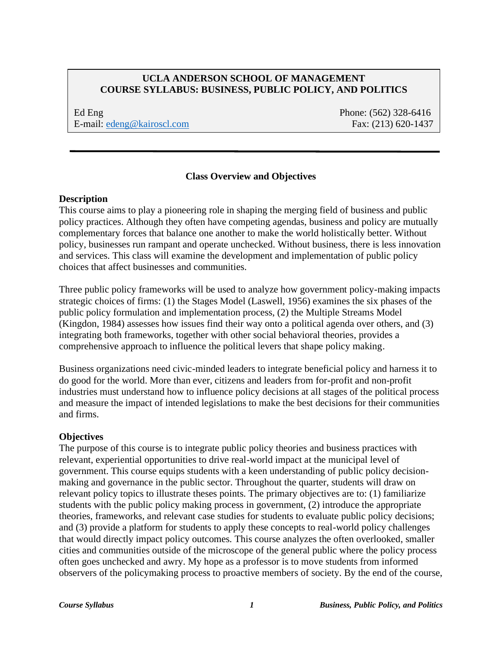## **UCLA ANDERSON SCHOOL OF MANAGEMENT COURSE SYLLABUS: BUSINESS, PUBLIC POLICY, AND POLITICS**

Ed Eng Phone: (562) 328-6416 E-mail:  $edeng@kairoscl.com$  Fax: (213) 620-1437

### **Class Overview and Objectives**

#### **Description**

This course aims to play a pioneering role in shaping the merging field of business and public policy practices. Although they often have competing agendas, business and policy are mutually complementary forces that balance one another to make the world holistically better. Without policy, businesses run rampant and operate unchecked. Without business, there is less innovation and services. This class will examine the development and implementation of public policy choices that affect businesses and communities.

Three public policy frameworks will be used to analyze how government policy-making impacts strategic choices of firms: (1) the Stages Model (Laswell, 1956) examines the six phases of the public policy formulation and implementation process, (2) the Multiple Streams Model (Kingdon, 1984) assesses how issues find their way onto a political agenda over others, and (3) integrating both frameworks, together with other social behavioral theories, provides a comprehensive approach to influence the political levers that shape policy making.

Business organizations need civic-minded leaders to integrate beneficial policy and harness it to do good for the world. More than ever, citizens and leaders from for-profit and non-profit industries must understand how to influence policy decisions at all stages of the political process and measure the impact of intended legislations to make the best decisions for their communities and firms.

#### **Objectives**

The purpose of this course is to integrate public policy theories and business practices with relevant, experiential opportunities to drive real-world impact at the municipal level of government. This course equips students with a keen understanding of public policy decisionmaking and governance in the public sector. Throughout the quarter, students will draw on relevant policy topics to illustrate theses points. The primary objectives are to: (1) familiarize students with the public policy making process in government, (2) introduce the appropriate theories, frameworks, and relevant case studies for students to evaluate public policy decisions; and (3) provide a platform for students to apply these concepts to real-world policy challenges that would directly impact policy outcomes. This course analyzes the often overlooked, smaller cities and communities outside of the microscope of the general public where the policy process often goes unchecked and awry. My hope as a professor is to move students from informed observers of the policymaking process to proactive members of society. By the end of the course,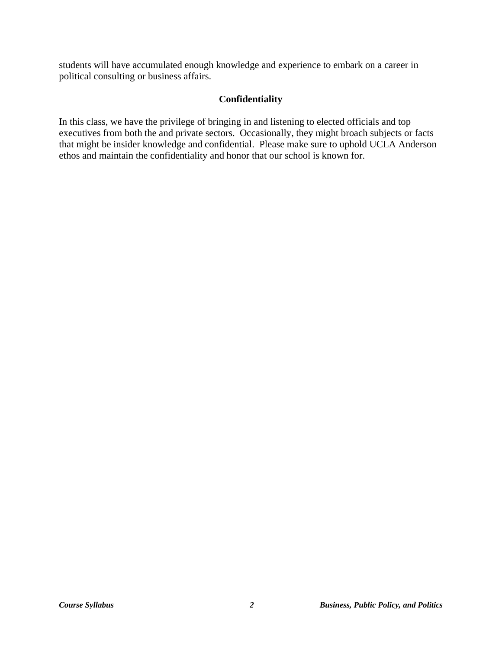students will have accumulated enough knowledge and experience to embark on a career in political consulting or business affairs.

## **Confidentiality**

In this class, we have the privilege of bringing in and listening to elected officials and top executives from both the and private sectors. Occasionally, they might broach subjects or facts that might be insider knowledge and confidential. Please make sure to uphold UCLA Anderson ethos and maintain the confidentiality and honor that our school is known for.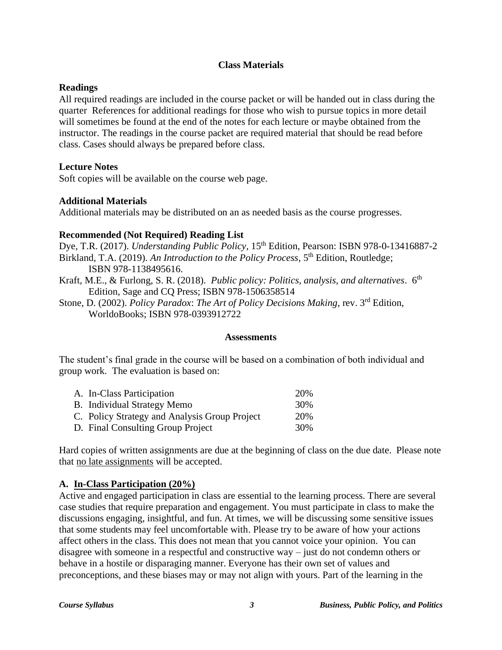## **Class Materials**

#### **Readings**

All required readings are included in the course packet or will be handed out in class during the quarter References for additional readings for those who wish to pursue topics in more detail will sometimes be found at the end of the notes for each lecture or maybe obtained from the instructor. The readings in the course packet are required material that should be read before class. Cases should always be prepared before class.

### **Lecture Notes**

Soft copies will be available on the course web page.

### **Additional Materials**

Additional materials may be distributed on an as needed basis as the course progresses.

## **Recommended (Not Required) Reading List**

Dye, T.R. (2017). *Understanding Public Policy*, 15<sup>th</sup> Edition, Pearson: ISBN 978-0-13416887-2 Birkland, T.A. (2019). An Introduction to the Policy Process, 5<sup>th</sup> Edition, Routledge; ISBN 978-1138495616.

- Kraft, M.E., & Furlong, S. R. (2018). *Public policy: Politics, analysis, and alternatives.* 6<sup>th</sup> Edition, Sage and CQ Press; ISBN 978-1506358514
- Stone, D. (2002). *Policy Paradox*: *The Art of Policy Decisions Making*, rev. 3rd Edition, WorldoBooks; ISBN 978-0393912722

#### **Assessments**

The student's final grade in the course will be based on a combination of both individual and group work. The evaluation is based on:

| A. In-Class Participation                     | 20\% |
|-----------------------------------------------|------|
| <b>B.</b> Individual Strategy Memo            | 30%  |
| C. Policy Strategy and Analysis Group Project | 20%  |
| D. Final Consulting Group Project             | 30%  |

Hard copies of written assignments are due at the beginning of class on the due date. Please note that no late assignments will be accepted.

## **A. In-Class Participation (20%)**

Active and engaged participation in class are essential to the learning process. There are several case studies that require preparation and engagement. You must participate in class to make the discussions engaging, insightful, and fun. At times, we will be discussing some sensitive issues that some students may feel uncomfortable with. Please try to be aware of how your actions affect others in the class. This does not mean that you cannot voice your opinion. You can disagree with someone in a respectful and constructive way – just do not condemn others or behave in a hostile or disparaging manner. Everyone has their own set of values and preconceptions, and these biases may or may not align with yours. Part of the learning in the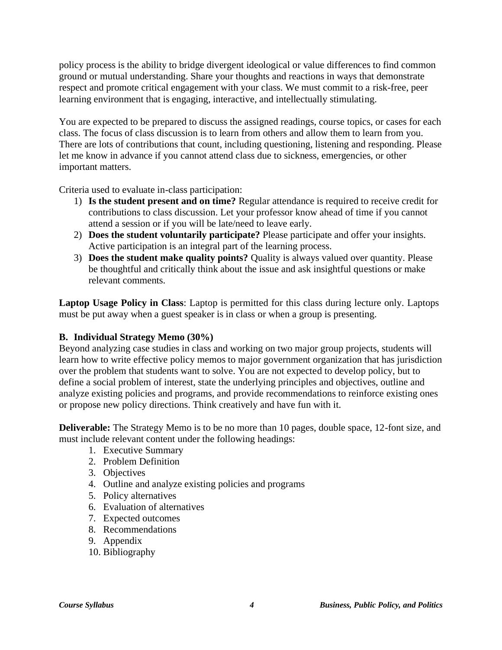policy process is the ability to bridge divergent ideological or value differences to find common ground or mutual understanding. Share your thoughts and reactions in ways that demonstrate respect and promote critical engagement with your class. We must commit to a risk-free, peer learning environment that is engaging, interactive, and intellectually stimulating.

You are expected to be prepared to discuss the assigned readings, course topics, or cases for each class. The focus of class discussion is to learn from others and allow them to learn from you. There are lots of contributions that count, including questioning, listening and responding. Please let me know in advance if you cannot attend class due to sickness, emergencies, or other important matters.

Criteria used to evaluate in-class participation:

- 1) **Is the student present and on time?** Regular attendance is required to receive credit for contributions to class discussion. Let your professor know ahead of time if you cannot attend a session or if you will be late/need to leave early.
- 2) **Does the student voluntarily participate?** Please participate and offer your insights. Active participation is an integral part of the learning process.
- 3) **Does the student make quality points?** Quality is always valued over quantity. Please be thoughtful and critically think about the issue and ask insightful questions or make relevant comments.

**Laptop Usage Policy in Class**: Laptop is permitted for this class during lecture only. Laptops must be put away when a guest speaker is in class or when a group is presenting.

## **B. Individual Strategy Memo (30%)**

Beyond analyzing case studies in class and working on two major group projects, students will learn how to write effective policy memos to major government organization that has jurisdiction over the problem that students want to solve. You are not expected to develop policy, but to define a social problem of interest, state the underlying principles and objectives, outline and analyze existing policies and programs, and provide recommendations to reinforce existing ones or propose new policy directions. Think creatively and have fun with it.

**Deliverable:** The Strategy Memo is to be no more than 10 pages, double space, 12-font size, and must include relevant content under the following headings:

- 1. Executive Summary
- 2. Problem Definition
- 3. Objectives
- 4. Outline and analyze existing policies and programs
- 5. Policy alternatives
- 6. Evaluation of alternatives
- 7. Expected outcomes
- 8. Recommendations
- 9. Appendix
- 10. Bibliography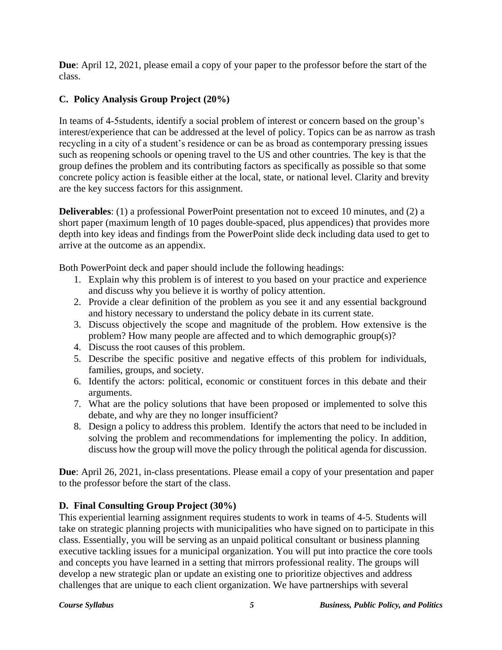**Due**: April 12, 2021, please email a copy of your paper to the professor before the start of the class.

# **C. Policy Analysis Group Project (20%)**

In teams of 4-5students, identify a social problem of interest or concern based on the group's interest/experience that can be addressed at the level of policy. Topics can be as narrow as trash recycling in a city of a student's residence or can be as broad as contemporary pressing issues such as reopening schools or opening travel to the US and other countries. The key is that the group defines the problem and its contributing factors as specifically as possible so that some concrete policy action is feasible either at the local, state, or national level. Clarity and brevity are the key success factors for this assignment.

**Deliverables**: (1) a professional PowerPoint presentation not to exceed 10 minutes, and (2) a short paper (maximum length of 10 pages double-spaced, plus appendices) that provides more depth into key ideas and findings from the PowerPoint slide deck including data used to get to arrive at the outcome as an appendix.

Both PowerPoint deck and paper should include the following headings:

- 1. Explain why this problem is of interest to you based on your practice and experience and discuss why you believe it is worthy of policy attention.
- 2. Provide a clear definition of the problem as you see it and any essential background and history necessary to understand the policy debate in its current state.
- 3. Discuss objectively the scope and magnitude of the problem. How extensive is the problem? How many people are affected and to which demographic group(s)?
- 4. Discuss the root causes of this problem.
- 5. Describe the specific positive and negative effects of this problem for individuals, families, groups, and society.
- 6. Identify the actors: political, economic or constituent forces in this debate and their arguments.
- 7. What are the policy solutions that have been proposed or implemented to solve this debate, and why are they no longer insufficient?
- 8. Design a policy to address this problem. Identify the actors that need to be included in solving the problem and recommendations for implementing the policy. In addition, discuss how the group will move the policy through the political agenda for discussion.

**Due**: April 26, 2021, in-class presentations. Please email a copy of your presentation and paper to the professor before the start of the class.

# **D. Final Consulting Group Project (30%)**

This experiential learning assignment requires students to work in teams of 4-5. Students will take on strategic planning projects with municipalities who have signed on to participate in this class. Essentially, you will be serving as an unpaid political consultant or business planning executive tackling issues for a municipal organization. You will put into practice the core tools and concepts you have learned in a setting that mirrors professional reality. The groups will develop a new strategic plan or update an existing one to prioritize objectives and address challenges that are unique to each client organization. We have partnerships with several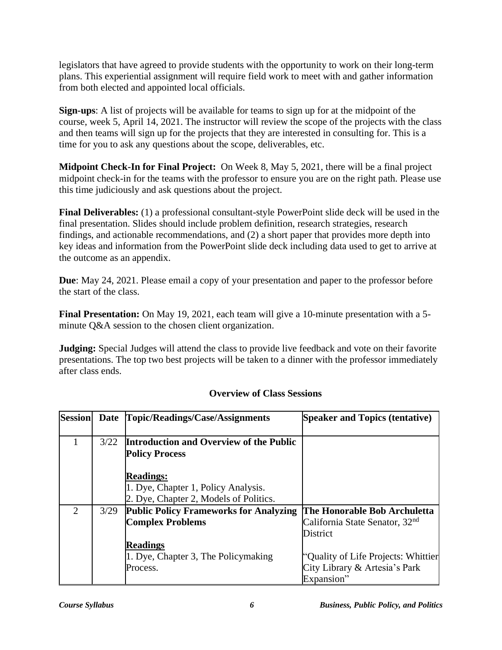legislators that have agreed to provide students with the opportunity to work on their long-term plans. This experiential assignment will require field work to meet with and gather information from both elected and appointed local officials.

**Sign-ups**: A list of projects will be available for teams to sign up for at the midpoint of the course, week 5, April 14, 2021. The instructor will review the scope of the projects with the class and then teams will sign up for the projects that they are interested in consulting for. This is a time for you to ask any questions about the scope, deliverables, etc.

**Midpoint Check-In for Final Project:** On Week 8, May 5, 2021, there will be a final project midpoint check-in for the teams with the professor to ensure you are on the right path. Please use this time judiciously and ask questions about the project.

**Final Deliverables:** (1) a professional consultant-style PowerPoint slide deck will be used in the final presentation. Slides should include problem definition, research strategies, research findings, and actionable recommendations, and (2) a short paper that provides more depth into key ideas and information from the PowerPoint slide deck including data used to get to arrive at the outcome as an appendix.

**Due**: May 24, 2021. Please email a copy of your presentation and paper to the professor before the start of the class.

**Final Presentation:** On May 19, 2021, each team will give a 10-minute presentation with a 5 minute Q&A session to the chosen client organization.

**Judging:** Special Judges will attend the class to provide live feedback and vote on their favorite presentations. The top two best projects will be taken to a dinner with the professor immediately after class ends.

| <b>Session</b> | <b>Date</b> | Topic/Readings/Case/Assignments               | <b>Speaker and Topics (tentative)</b>      |
|----------------|-------------|-----------------------------------------------|--------------------------------------------|
|                |             |                                               |                                            |
|                | 3/22        | Introduction and Overview of the Public       |                                            |
|                |             | <b>Policy Process</b>                         |                                            |
|                |             | <b>Readings:</b>                              |                                            |
|                |             | 1. Dye, Chapter 1, Policy Analysis.           |                                            |
|                |             | 2. Dye, Chapter 2, Models of Politics.        |                                            |
| $\overline{2}$ | 3/29        | <b>Public Policy Frameworks for Analyzing</b> | The Honorable Bob Archuletta               |
|                |             | <b>Complex Problems</b>                       | California State Senator, 32 <sup>nd</sup> |
|                |             |                                               | District                                   |
|                |             | <b>Readings</b>                               |                                            |
|                |             | 1. Dye, Chapter 3, The Policymaking           | "Quality of Life Projects: Whittier        |
|                |             | Process.                                      | City Library & Artesia's Park              |
|                |             |                                               | Expansion"                                 |

# **Overview of Class Sessions**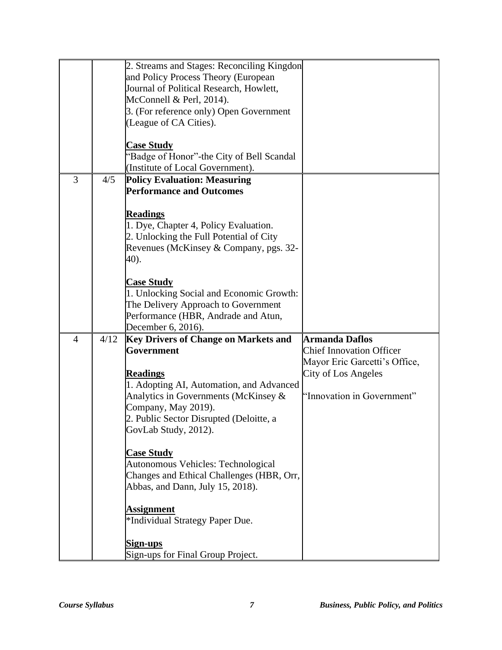|                |      | 2. Streams and Stages: Reconciling Kingdon<br>and Policy Process Theory (European<br>Journal of Political Research, Howlett,<br>McConnell & Perl, 2014).<br>3. (For reference only) Open Government<br>(League of CA Cities).<br><b>Case Study</b><br>"Badge of Honor"-the City of Bell Scandal<br>(Institute of Local Government).                                                                                                                                                                             |                                                                                                                                                |
|----------------|------|-----------------------------------------------------------------------------------------------------------------------------------------------------------------------------------------------------------------------------------------------------------------------------------------------------------------------------------------------------------------------------------------------------------------------------------------------------------------------------------------------------------------|------------------------------------------------------------------------------------------------------------------------------------------------|
| 3              | 4/5  | <b>Policy Evaluation: Measuring</b><br><b>Performance and Outcomes</b><br><b>Readings</b><br>1. Dye, Chapter 4, Policy Evaluation.<br>2. Unlocking the Full Potential of City<br>Revenues (McKinsey & Company, pgs. 32-<br>40).<br><b>Case Study</b><br>1. Unlocking Social and Economic Growth:<br>The Delivery Approach to Government<br>Performance (HBR, Andrade and Atun,<br>December 6, 2016).                                                                                                            |                                                                                                                                                |
| $\overline{4}$ | 4/12 | <b>Key Drivers of Change on Markets and</b><br>Government<br><b>Readings</b><br>1. Adopting AI, Automation, and Advanced<br>Analytics in Governments (McKinsey &<br>Company, May 2019).<br>2. Public Sector Disrupted (Deloitte, a<br>GovLab Study, 2012).<br><b>Case Study</b><br>Autonomous Vehicles: Technological<br>Changes and Ethical Challenges (HBR, Orr,<br>Abbas, and Dann, July 15, 2018).<br><b>Assignment</b><br>*Individual Strategy Paper Due.<br>Sign-ups<br>Sign-ups for Final Group Project. | <b>Armanda Daflos</b><br><b>Chief Innovation Officer</b><br>Mayor Eric Garcetti's Office,<br>City of Los Angeles<br>'Innovation in Government" |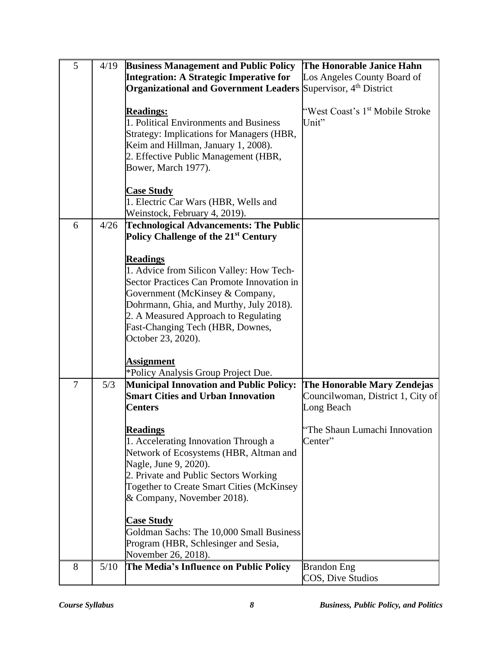| 5 | 4/19 | <b>Business Management and Public Policy</b>                                                                                                                                                                                                                                                                           | The Honorable Janice Hahn                                                      |
|---|------|------------------------------------------------------------------------------------------------------------------------------------------------------------------------------------------------------------------------------------------------------------------------------------------------------------------------|--------------------------------------------------------------------------------|
|   |      | Integration: A Strategic Imperative for                                                                                                                                                                                                                                                                                | Los Angeles County Board of                                                    |
|   |      | <b>Organizational and Government Leaders Supervisor, 4th District</b>                                                                                                                                                                                                                                                  |                                                                                |
|   |      | <b>Readings:</b><br>1. Political Environments and Business<br>Strategy: Implications for Managers (HBR,<br>Keim and Hillman, January 1, 2008).<br>2. Effective Public Management (HBR,<br>Bower, March 1977).                                                                                                          | "West Coast's 1 <sup>st</sup> Mobile Stroke<br>Unit"                           |
|   |      | <b>Case Study</b><br>1. Electric Car Wars (HBR, Wells and<br>Weinstock, February 4, 2019).                                                                                                                                                                                                                             |                                                                                |
| 6 | 4/26 | <b>Technological Advancements: The Public</b>                                                                                                                                                                                                                                                                          |                                                                                |
|   |      | Policy Challenge of the 21 <sup>st</sup> Century                                                                                                                                                                                                                                                                       |                                                                                |
|   |      | <b>Readings</b><br>1. Advice from Silicon Valley: How Tech-<br>Sector Practices Can Promote Innovation in<br>Government (McKinsey & Company,<br>Dohrmann, Ghia, and Murthy, July 2018).<br>2. A Measured Approach to Regulating<br>Fast-Changing Tech (HBR, Downes,<br>October 23, 2020).                              |                                                                                |
|   |      | <b>Assignment</b>                                                                                                                                                                                                                                                                                                      |                                                                                |
|   |      | *Policy Analysis Group Project Due.                                                                                                                                                                                                                                                                                    |                                                                                |
| 7 | 5/3  | <b>Municipal Innovation and Public Policy:</b><br><b>Smart Cities and Urban Innovation</b><br><b>Centers</b>                                                                                                                                                                                                           | The Honorable Mary Zendejas<br>Councilwoman, District 1, City of<br>Long Beach |
|   |      | <b>Readings</b><br>1. Accelerating Innovation Through a<br>Network of Ecosystems (HBR, Altman and<br>Nagle, June 9, 2020).<br>2. Private and Public Sectors Working<br><b>Together to Create Smart Cities (McKinsey</b><br>& Company, November 2018).<br><b>Case Study</b><br>Goldman Sachs: The 10,000 Small Business | The Shaun Lumachi Innovation<br>Center"                                        |
|   |      | Program (HBR, Schlesinger and Sesia,                                                                                                                                                                                                                                                                                   |                                                                                |
|   |      | November 26, 2018).                                                                                                                                                                                                                                                                                                    |                                                                                |
| 8 | 5/10 | The Media's Influence on Public Policy                                                                                                                                                                                                                                                                                 | <b>Brandon</b> Eng<br>COS, Dive Studios                                        |